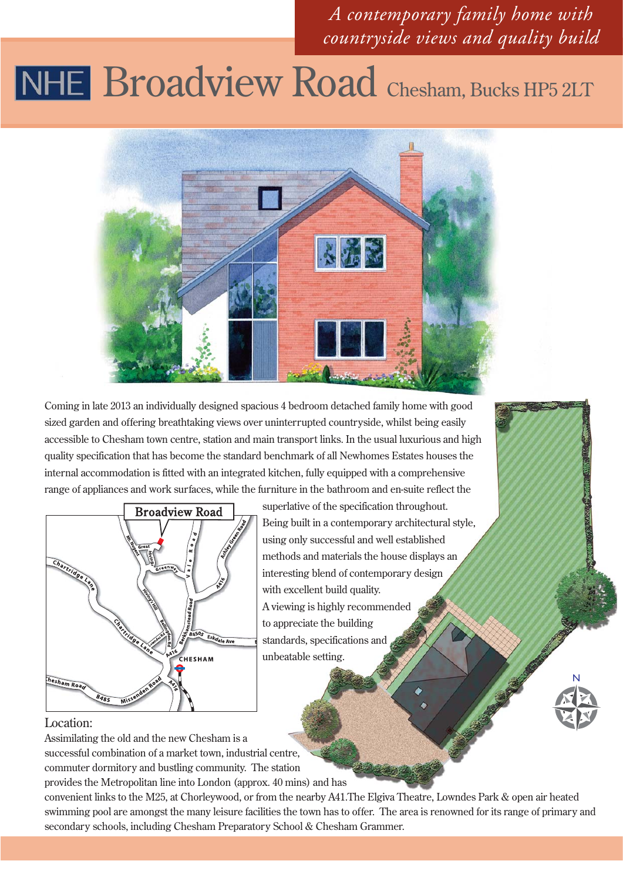### *A contemporary family home with countryside views and quality build*

## NHE Broadview Road Chesham, Bucks HP5 2LT



Coming in late 2013 an individually designed spacious 4 bedroom detached family home with good sized garden and offering breathtaking views over uninterrupted countryside, whilst being easily accessible to Chesham town centre, station and main transport links. In the usual luxurious and high quality specification that has become the standard benchmark of all Newhomes Estates houses the internal accommodation is fitted with an integrated kitchen, fully equipped with a comprehensive range of appliances and work surfaces, while the furniture in the bathroom and en-suite reflect the



superlative of the specification throughout. Being built in a contemporary architectural style, using only successful and well established methods and materials the house displays an interesting blend of contemporary design with excellent build quality. A viewing is highly recommended to appreciate the building standards, specifications and unbeatable setting.



#### Location:

Assimilating the old and the new Chesham is a successful combination of a market town, industrial centre, commuter dormitory and bustling community. The station provides the Metropolitan line into London (approx. 40 mins) and has

convenient links to the M25, at Chorleywood, or from the nearby A41.The Elgiva Theatre, Lowndes Park & open air heated swimming pool are amongst the many leisure facilities the town has to offer. The area is renowned for its range of primary and secondary schools, including Chesham Preparatory School & Chesham Grammer.